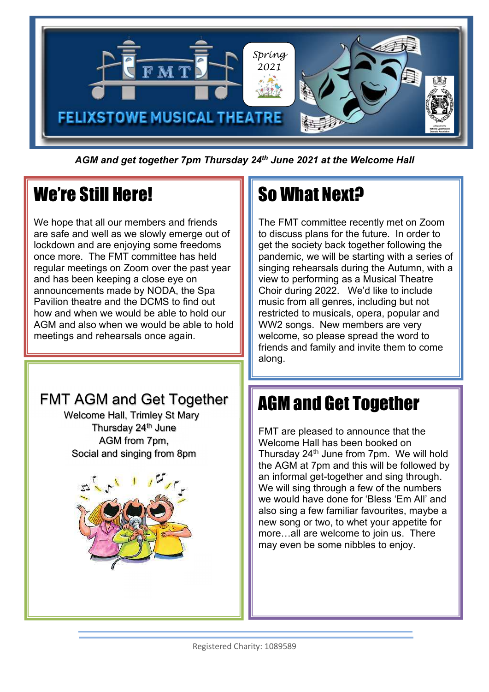

AGM and get together 7pm Thursday 24<sup>th</sup> June 2021 at the Welcome Hall

## We're Still Here!

l.

We hope that all our members and friends are safe and well as we slowly emerge out of lockdown and are enjoying some freedoms once more. The FMT committee has held regular meetings on Zoom over the past year and has been keeping a close eye on announcements made by NODA, the Spa Pavilion theatre and the DCMS to find out how and when we would be able to hold our AGM and also when we would be able to hold meetings and rehearsals once again.

### FMT AGM and Get Together **T** AGM a

Welcome Hall, Trimley St Mary Thursday 24<sup>th</sup> June AGM from 7pm, Social and singing from 8pm



# So What Next?

The FMT committee recently met on Zoom to discuss plans for the future. In order to get the society back together following the pandemic, we will be starting with a series of singing rehearsals during the Autumn, with a view to performing as a Musical Theatre Choir during 2022. We'd like to include music from all genres, including but not restricted to musicals, opera, popular and WW2 songs. New members are very welcome, so please spread the word to friends and family and invite them to come along.

# AGM and Get Together

FMT are pleased to announce that the Welcome Hall has been booked on Thursday 24<sup>th</sup> June from 7pm. We will hold the AGM at 7pm and this will be followed by an informal get-together and sing through. We will sing through a few of the numbers we would have done for 'Bless 'Em All' and also sing a few familiar favourites, maybe a new song or two, to whet your appetite for more…all are welcome to join us. There may even be some nibbles to enjoy.